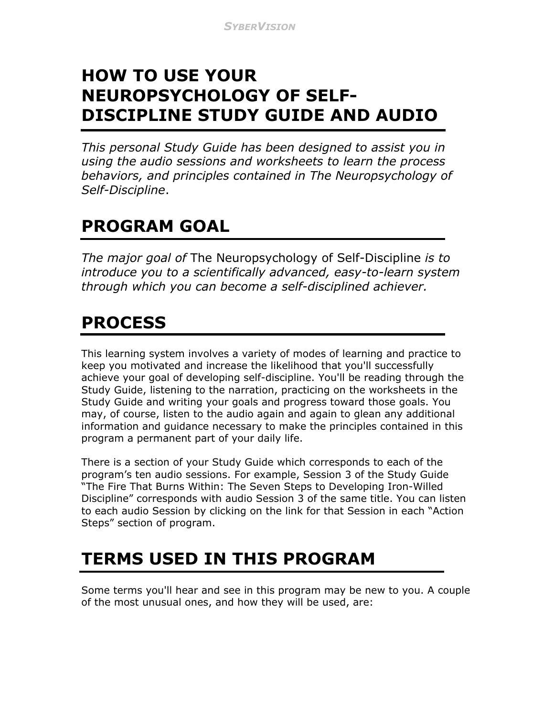### **HOW TO USE YOUR NEUROPSYCHOLOGY OF SELF-DISCIPLINE STUDY GUIDE AND AUDIO**

*This personal Study Guide has been designed to assist you in using the audio sessions and worksheets to learn the process behaviors, and principles contained in The Neuropsychology of Self-Discipline*.

# **PROGRAM GOAL**

*The major goal of* The Neuropsychology of Self-Discipline *is to introduce you to a scientifically advanced, easy-to-learn system through which you can become a self-disciplined achiever.* 

## **PROCESS**

This learning system involves a variety of modes of learning and practice to keep you motivated and increase the likelihood that you'll successfully achieve your goal of developing self-discipline. You'll be reading through the Study Guide, listening to the narration, practicing on the worksheets in the Study Guide and writing your goals and progress toward those goals. You may, of course, listen to the audio again and again to glean any additional information and guidance necessary to make the principles contained in this program a permanent part of your daily life.

There is a section of your Study Guide which corresponds to each of the program's ten audio sessions. For example, Session 3 of the Study Guide "The Fire That Burns Within: The Seven Steps to Developing Iron-Willed Discipline" corresponds with audio Session 3 of the same title. You can listen to each audio Session by clicking on the link for that Session in each "Action Steps" section of program.

### **TERMS USED IN THIS PROGRAM**

Some terms you'll hear and see in this program may be new to you. A couple of the most unusual ones, and how they will be used, are: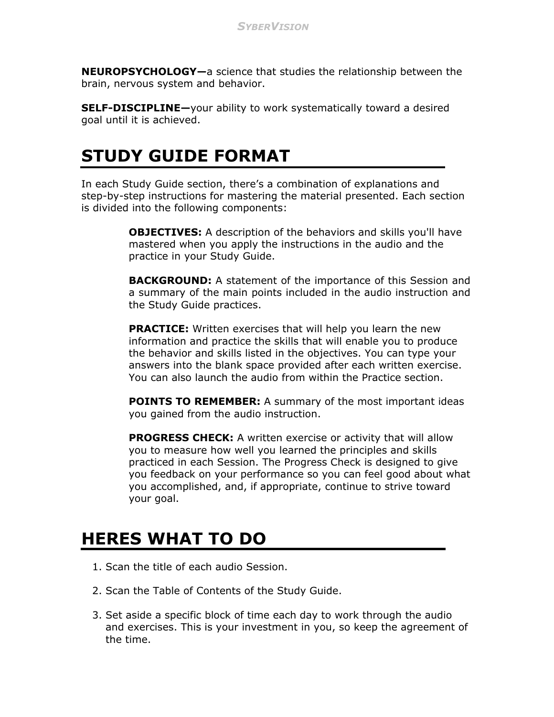**NEUROPSYCHOLOGY—**a science that studies the relationship between the brain, nervous system and behavior.

**SELF-DISCIPLINE—**your ability to work systematically toward a desired goal until it is achieved.

#### **STUDY GUIDE FORMAT**

In each Study Guide section, there's a combination of explanations and step-by-step instructions for mastering the material presented. Each section is divided into the following components:

> **OBJECTIVES:** A description of the behaviors and skills you'll have mastered when you apply the instructions in the audio and the practice in your Study Guide.

**BACKGROUND:** A statement of the importance of this Session and a summary of the main points included in the audio instruction and the Study Guide practices.

**PRACTICE:** Written exercises that will help you learn the new information and practice the skills that will enable you to produce the behavior and skills listed in the objectives. You can type your answers into the blank space provided after each written exercise. You can also launch the audio from within the Practice section.

**POINTS TO REMEMBER:** A summary of the most important ideas you gained from the audio instruction.

**PROGRESS CHECK:** A written exercise or activity that will allow you to measure how well you learned the principles and skills practiced in each Session. The Progress Check is designed to give you feedback on your performance so you can feel good about what you accomplished, and, if appropriate, continue to strive toward your goal.

#### **HERES WHAT TO DO**

- 1. Scan the title of each audio Session.
- 2. Scan the Table of Contents of the Study Guide.
- 3. Set aside a specific block of time each day to work through the audio and exercises. This is your investment in you, so keep the agreement of the time.